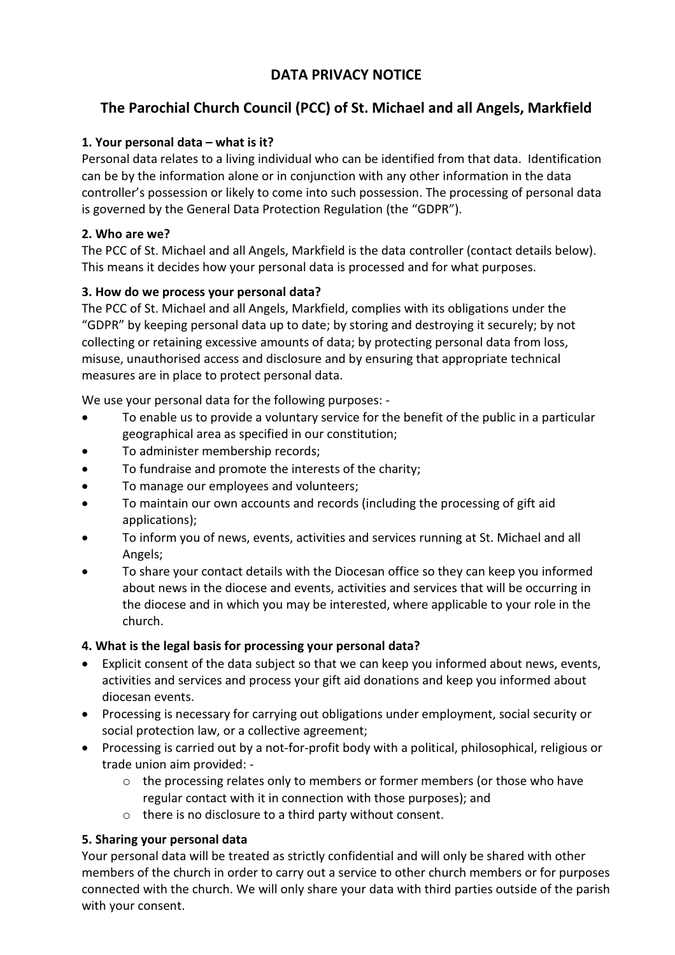## DATA PRIVACY NOTICE

# The Parochial Church Council (PCC) of St. Michael and all Angels, Markfield

## 1. Your personal data – what is it?

Personal data relates to a living individual who can be identified from that data. Identification can be by the information alone or in conjunction with any other information in the data controller's possession or likely to come into such possession. The processing of personal data is governed by the General Data Protection Regulation (the "GDPR").

## 2. Who are we?

The PCC of St. Michael and all Angels, Markfield is the data controller (contact details below). This means it decides how your personal data is processed and for what purposes.

## 3. How do we process your personal data?

The PCC of St. Michael and all Angels, Markfield, complies with its obligations under the "GDPR" by keeping personal data up to date; by storing and destroying it securely; by not collecting or retaining excessive amounts of data; by protecting personal data from loss, misuse, unauthorised access and disclosure and by ensuring that appropriate technical measures are in place to protect personal data.

We use your personal data for the following purposes: -

- To enable us to provide a voluntary service for the benefit of the public in a particular geographical area as specified in our constitution;
- To administer membership records;
- To fundraise and promote the interests of the charity;
- To manage our employees and volunteers;
- To maintain our own accounts and records (including the processing of gift aid applications);
- To inform you of news, events, activities and services running at St. Michael and all Angels;
- To share your contact details with the Diocesan office so they can keep you informed about news in the diocese and events, activities and services that will be occurring in the diocese and in which you may be interested, where applicable to your role in the church.

## 4. What is the legal basis for processing your personal data?

- Explicit consent of the data subject so that we can keep you informed about news, events, activities and services and process your gift aid donations and keep you informed about diocesan events.
- Processing is necessary for carrying out obligations under employment, social security or social protection law, or a collective agreement;
- Processing is carried out by a not-for-profit body with a political, philosophical, religious or trade union aim provided:
	- o the processing relates only to members or former members (or those who have regular contact with it in connection with those purposes); and
	- o there is no disclosure to a third party without consent.

## 5. Sharing your personal data

Your personal data will be treated as strictly confidential and will only be shared with other members of the church in order to carry out a service to other church members or for purposes connected with the church. We will only share your data with third parties outside of the parish with your consent.